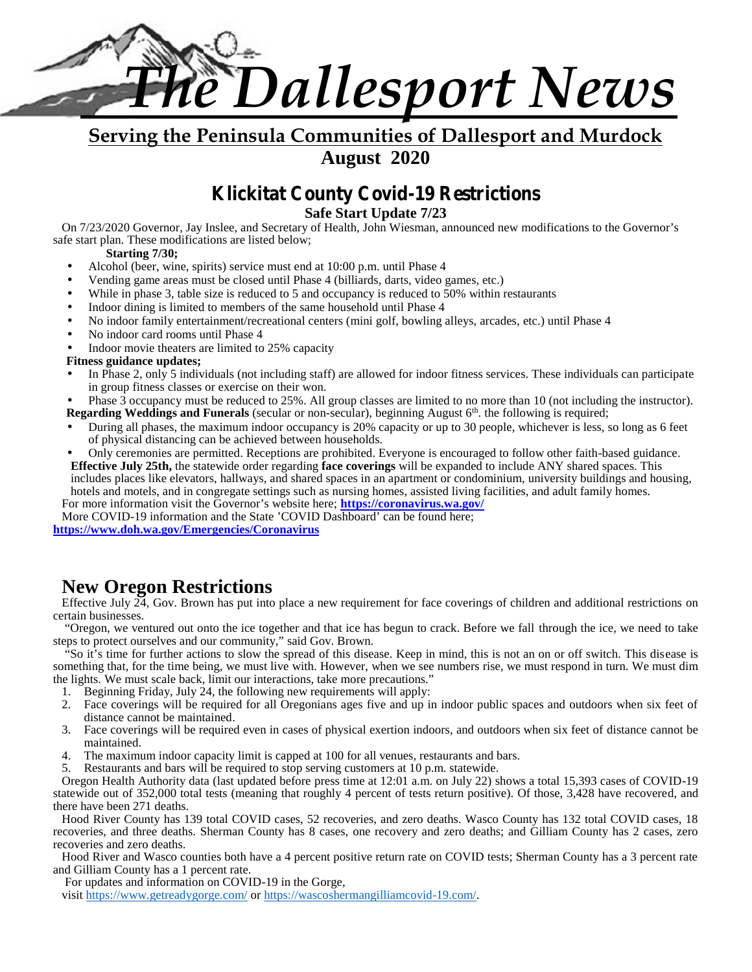

**Serving the Peninsula Communities of Dallesport and Murdock August 2020**

### **Klickitat County Covid-19 Restrictions**

**Safe Start Update 7/23**

On 7/23/2020 Governor, Jay Inslee, and Secretary of Health, John Wiesman, announced new modifications to the Governor's safe start plan. These modifications are listed below;

### **Starting 7/30;**

- Alcohol (beer, wine, spirits) service must end at 10:00 p.m. until Phase 4
- Vending game areas must be closed until Phase 4 (billiards, darts, video games, etc.)
- While in phase 3, table size is reduced to 5 and occupancy is reduced to 50% within restaurants
- Indoor dining is limited to members of the same household until Phase 4
- No indoor family entertainment/recreational centers (mini golf, bowling alleys, arcades, etc.) until Phase 4
- No indoor card rooms until Phase 4
- Indoor movie theaters are limited to 25% capacity

### **Fitness guidance updates;**

 In Phase 2, only 5 individuals (not including staff) are allowed for indoor fitness services. These individuals can participate in group fitness classes or exercise on their won.

 Phase 3 occupancy must be reduced to 25%. All group classes are limited to no more than 10 (not including the instructor). Regarding Weddings and Funerals (secular or non-secular), beginning August 6<sup>th</sup>. the following is required;

- During all phases, the maximum indoor occupancy is 20% capacity or up to 30 people, whichever is less, so long as 6 feet of physical distancing can be achieved between households.
- Only ceremonies are permitted. Receptions are prohibited. Everyone is encouraged to follow other faith-based guidance. **Effective July 25th,** the statewide order regarding **face coverings** will be expanded to include ANY shared spaces. This

includes places like elevators, hallways, and shared spaces in an apartment or condominium, university buildings and housing, hotels and motels, and in congregate settings such as nursing homes, assisted living facilities, and adult family homes.

For more information visit the Governor's website here; **https://coronavirus.wa.gov/** More COVID-19 information and the State 'COVID Dashboard' can be found here;

**https://www.doh.wa.gov/Emergencies/Coronavirus**

### **New Oregon Restrictions**

Effective July 24, Gov. Brown has put into place a new requirement for face coverings of children and additional restrictions on certain businesses.

"Oregon, we ventured out onto the ice together and that ice has begun to crack. Before we fall through the ice, we need to take steps to protect ourselves and our community," said Gov. Brown.

"So it's time for further actions to slow the spread of this disease. Keep in mind, this is not an on or off switch. This disease is something that, for the time being, we must live with. However, when we see numbers rise, we must respond in turn. We must dim the lights. We must scale back, limit our interactions, take more precautions."

- 1. Beginning Friday, July 24, the following new requirements will apply:
- 2. Face coverings will be required for all Oregonians ages five and up in indoor public spaces and outdoors when six feet of distance cannot be maintained.
- 3. Face coverings will be required even in cases of physical exertion indoors, and outdoors when six feet of distance cannot be maintained.
- 4. The maximum indoor capacity limit is capped at 100 for all venues, restaurants and bars.

5. Restaurants and bars will be required to stop serving customers at 10 p.m. statewide.

Oregon Health Authority data (last updated before press time at 12:01 a.m. on July 22) shows a total 15,393 cases of COVID-19 statewide out of 352,000 total tests (meaning that roughly 4 percent of tests return positive). Of those, 3,428 have recovered, and there have been 271 deaths.

Hood River County has 139 total COVID cases, 52 recoveries, and zero deaths. Wasco County has 132 total COVID cases, 18 recoveries, and three deaths. Sherman County has 8 cases, one recovery and zero deaths; and Gilliam County has 2 cases, zero recoveries and zero deaths.

Hood River and Wasco counties both have a 4 percent positive return rate on COVID tests; Sherman County has a 3 percent rate and Gilliam County has a 1 percent rate.

For updates and information on COVID-19 in the Gorge,

visit https://www.getreadygorge.com/ or https://wascoshermangilliamcovid-19.com/.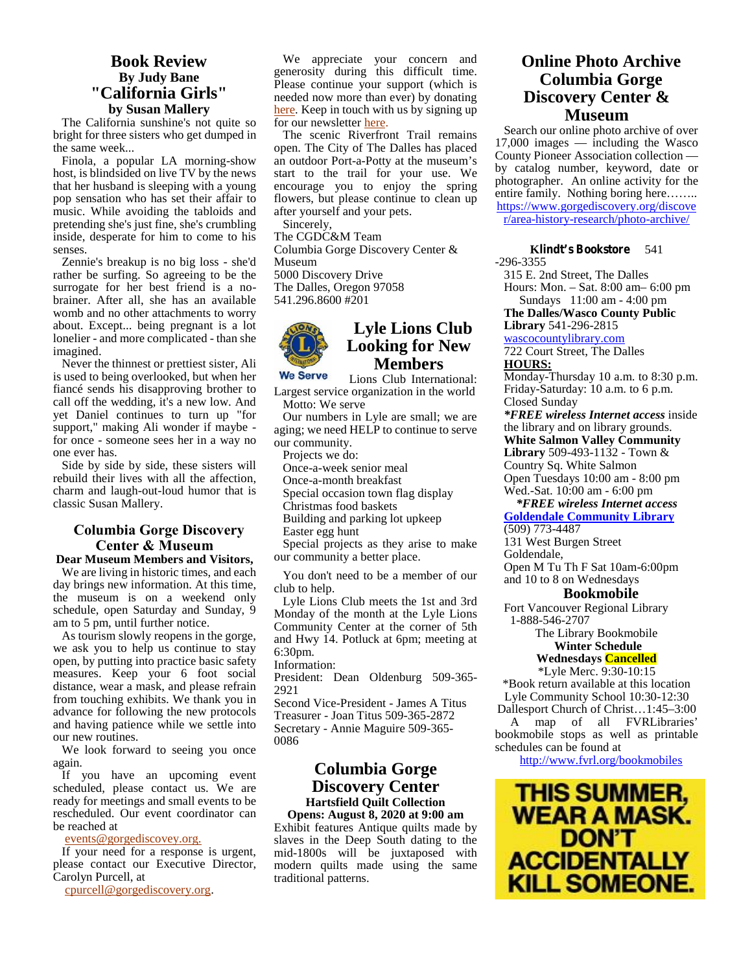### **Book Review By Judy Bane "California Girls" by Susan Mallery**

The California sunshine's not quite so bright for three sisters who get dumped in the same week...

Finola, a popular LA morning-show host, is blindsided on live TV by the news that her husband is sleeping with a young pop sensation who has set their affair to music. While avoiding the tabloids and pretending she's just fine, she's crumbling inside, desperate for him to come to his senses.

Zennie's breakup is no big loss - she'd rather be surfing. So agreeing to be the surrogate for her best friend is a no brainer. After all, she has an available womb and no other attachments to worry about. Except... being pregnant is a lot lonelier - and more complicated - than she imagined.

Never the thinnest or prettiest sister, Ali<br>sused to being overlooked but when her We Serve is used to being overlooked, but when her fiancé sends his disapproving brother to call off the wedding, it's a new low. And yet Daniel continues to turn up "for support," making Ali wonder if maybe for once - someone sees her in a way no one ever has.

Side by side by side, these sisters will rebuild their lives with all the affection, charm and laugh-out-loud humor that is classic Susan Mallery.

### **Columbia Gorge Discovery Center & Museum**

**Dear Museum Members and Visitors,** We are living in historic times, and each day brings new information. At this time, the museum is on a weekend only schedule, open Saturday and Sunday, 9 am to 5 pm, until further notice.

As tourism slowly reopens in the gorge, we ask you to help us continue to stay open, by putting into practice basic safety measures. Keep your 6 foot social distance, wear a mask, and please refrain from touching exhibits. We thank you in advance for following the new protocols and having patience while we settle into our new routines.

We look forward to seeing you once again.

If you have an upcoming event scheduled, please contact us. We are ready for meetings and small events to be rescheduled. Our event coordinator can be reached at

events@gorgediscovey.org.

If your need for a response is urgent, please contact our Executive Director, Carolyn Purcell, at

cpurcell@gorgediscovery.org.

We appreciate your concern and generosity during this difficult time. Please continue your support (which is needed now more than ever) by donating here. Keep in touch with us by signing up for our newsletter here.

The scenic Riverfront Trail remains open. The City of The Dalles has placed an outdoor Port-a-Potty at the museum's start to the trail for your use. We encourage you to enjoy the spring flowers, but please continue to clean up after yourself and your pets.

Sincerely, The CGDC&M Team Columbia Gorge Discovery Center & Museum 5000 Discovery Drive The Dalles, Oregon 97058 541.296.8600 #201



### **Lyle Lions Club Looking for New Members**

Lions Club International: Largest service organization in the world Motto: We serve

Our numbers in Lyle are small; we are aging; we need HELP to continue to serve our community.

Projects we do:

Once-a-week senior meal

Once-a-month breakfast

Special occasion town flag display

Christmas food baskets

Building and parking lot upkeep

Easter egg hunt

Special projects as they arise to make our community a better place.

You don't need to be a member of our club to help.

Lyle Lions Club meets the 1st and 3rd Monday of the month at the Lyle Lions Community Center at the corner of 5th and Hwy 14. Potluck at 6pm; meeting at 6:30pm.

Information:

President: Dean Oldenburg 509-365- 2921

Second Vice-President - James A Titus Treasurer - Joan Titus 509-365-2872 Secretary - Annie Maguire 509-365- 0086

### **Columbia Gorge Discovery Center Hartsfield Quilt Collection**

Exhibit features Antique quilts made by slaves in the Deep South dating to the mid-1800s will be juxtaposed with **ACCIDENTALLY** modern quilts made using the same **ACCIDENTALLY** modern quilts made using the same traditional patterns.

### **Online Photo Archive Columbia Gorge Discovery Center & Museum**

Search our online photo archive of over 17,000 images — including the Wasco County Pioneer Association collection by catalog number, keyword, date or photographer. An online activity for the entire family. Nothing boring here…….. https://www.gorgediscovery.org/discove r/area-history-research/photo-archive/

**Klindt's Bookstore** 541 -296-3355

315 E. 2nd Street, The Dalles Hours: Mon. – Sat.8:00 am– 6:00 pm Sundays 11:00 am - 4:00 pm

**The Dalles/Wasco County Public Library** 541-296-2815

wascocountylibrary.com

722 Court Street, The Dalles **HOURS:**

Monday-Thursday 10 a.m. to 8:30 p.m. Friday-Saturday: 10 a.m. to 6 p.m. Closed Sunday

*\*FREE wireless Internet access* inside the library and on library grounds.

**White Salmon Valley Community Library** 509-493-1132 - Town & Country Sq. White Salmon

Open Tuesdays 10:00 am - 8:00 pm Wed.-Sat. 10:00 am - 6:00 pm

### *\*FREE wireless Internet access*

**Goldendale Community Library** (509) 773-4487

131 West Burgen Street

Goldendale,

Open M Tu Th F Sat 10am-6:00pm

and 10 to 8 on Wednesdays

### **Bookmobile**

Fort Vancouver Regional Library 1-888-546-2707

> The Library Bookmobile **Winter Schedule**

### **Wednesdays Cancelled**

\*Lyle Merc. 9:30-10:15 \*Book return available at this location Lyle Community School 10:30-12:30 Dallesport Church of Christ…1:45–3:00 A map of all FVRLibraries' bookmobile stops as well as printable

schedules can be found at

http://www.fvrl.org/bookmobiles

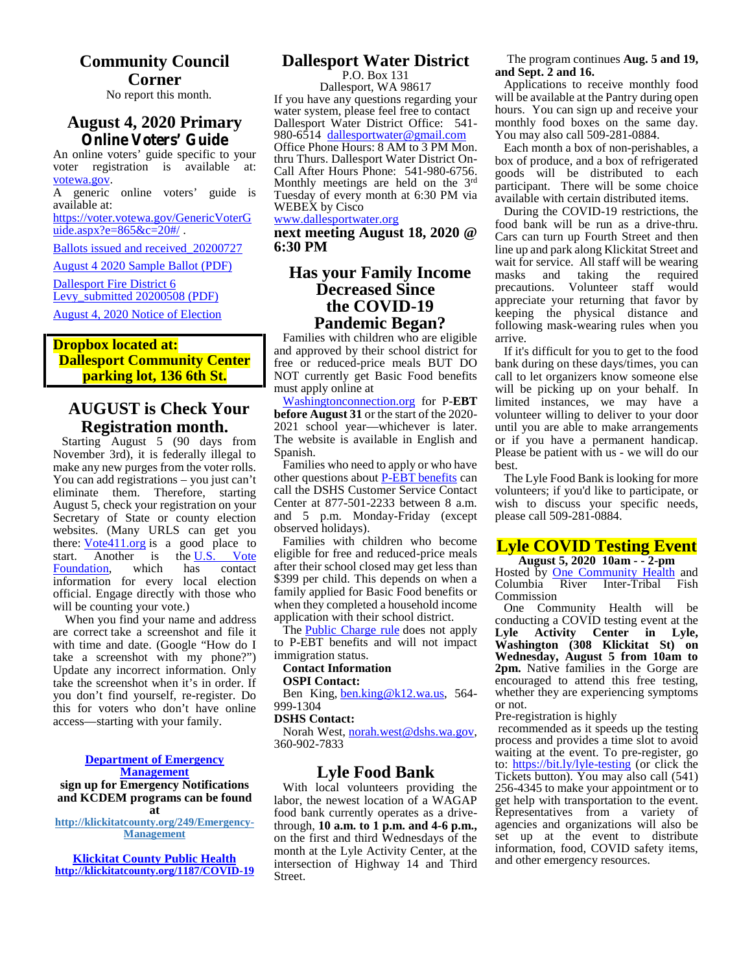### **Community Council Corner**

No report this month.

# **Online Voters' Guide**

voter registration is available at: Call After Hours Phone: 541-980-6756. votewa.gov.

available at:

https://voter.votewa.gov/GenericVoterG uide.aspx?e=865&c=20#/ .

Ballots issued and received\_20200727

August 4 2020 Sample Ballot (PDF)

Dallesport Fire District 6 Levy\_submitted 20200508 (PDF) August 4, 2020 Notice of Election

### **Dropbox located at: Dallesport Community Center parking lot, 136 6th St.**

### **AUGUST is Check Your Registration month.**

Starting August 5 (90 days from November 3rd), it is federally illegal to make any new purges from the voter rolls. You can add registrations – you just can't eliminate them. Therefore, starting August 5, check your registration on your Secretary of State or county election websites. (Many URLS can get you there:  $Vote411.org$  is a good place to</u> start. Another is the U.S. Vote<br>Foundation, which has contact Foundation, which has contact information for every local election official. Engage directly with those who will be counting your vote.)

When you find your name and address are correct take a screenshot and file it with time and date. (Google "How do I take a screenshot with my phone?") Update any incorrect information. Only take the screenshot when it's in order. If you don't find yourself, re-register. Do this for voters who don't have online access—starting with your family.

### **Department of Emergency**

**Management**

**sign up for Emergency Notifications and KCDEM programs can be found at http://klickitatcounty.org/249/Emergency-**

**Management**

**Klickitat County Public Health http://klickitatcounty.org/1187/COVID-19**

### **Dallesport Water District**

**August 4, 2020 Primary** Dallesport Water District Office: 541-An online voters' guide specific to your<br>thru Thurs. Dallesport Water District On-A generic online voters' guide is Tuesday of every month at 6:30 PM via P.O. Box 131 Dallesport, WA 98617 If you have any questions regarding your water system, please feel free to contact 980-6514 dallesportwater@gmail.com Office Phone Hours: 8 AM to 3 PM Mon. Monthly meetings are held on the 3<sup>rd</sup> WEBEX by Cisco www.dallesportwater.org

**next meeting August 18, 2020 @ 6:30 PM**

### **Has your Family Income Decreased Since the COVID-19 Pandemic Began?**

Families with children who are eligible and approved by their school district for free or reduced-price meals BUT DO NOT currently get Basic Food benefits must apply online at

Washingtonconnection.org for P-**EBT before August 31** or the start of the 2020- 2021 school year—whichever is later. The website is available in English and Spanish.

Families who need to apply or who have other questions about P-EBT benefits can call the DSHS Customer Service Contact Center at 877-501-2233 between 8 a.m. and 5 p.m. Monday-Friday (except observed holidays).

Families with children who become eligible for free and reduced-price meals after their school closed may get less than \$399 per child. This depends on when a family applied for Basic Food benefits or when they completed a household income application with their school district.

The **Public Charge rule** does not apply to P-EBT benefits and will not impact immigration status.

### **Contact Information**

**OSPI Contact:**

Ben King, ben.king@k12.wa.us, 564- 999-1304

#### **DSHS Contact:**

Norah West, norah.west@dshs.wa.gov, 360-902-7833

### **Lyle Food Bank**

With local volunteers providing the labor, the newest location of a WAGAP food bank currently operates as a drivethrough, **10 a.m. to 1 p.m. and 4-6 p.m.,** on the first and third Wednesdays of the month at the Lyle Activity Center, at the intersection of Highway 14 and Third Street.

The program continues **Aug. 5 and 19, and Sept. 2 and 16.**

Applications to receive monthly food will be available at the Pantry during open hours. You can sign up and receive your monthly food boxes on the same day. You may also call 509-281-0884.

Each month a box of non-perishables, a box of produce, and a box of refrigerated goods will be distributed to each participant. There will be some choice available with certain distributed items.

During the COVID-19 restrictions, the food bank will be run as a drive-thru. Cars can turn up Fourth Street and then line up and park along Klickitat Street and wait for service. All staff will be wearing<br>masks and taking the required taking the precautions. Volunteer staff would appreciate your returning that favor by keeping the physical distance and following mask-wearing rules when you arrive.

If it's difficult for you to get to the food bank during on these days/times, you can call to let organizers know someone else will be picking up on your behalf. In limited instances, we may have a volunteer willing to deliver to your door until you are able to make arrangements or if you have a permanent handicap. Please be patient with us - we will do our best.

The Lyle Food Bank is looking for more volunteers; if you'd like to participate, or wish to discuss your specific needs, please call 509-281-0884.

### **Lyle COVID Testing Event August 5, 2020 10am - - 2-pm**

Hosted by **One Community Health** and Columbia River Inter-Tribal Fish Commission

One Community Health will be conducting a COVID testing event at the **Lyle Activity Center in Lyle, Washington (308 Klickitat St) on Wednesday, August 5 from 10am to 2pm.** Native families in the Gorge are encouraged to attend this free testing, whether they are experiencing symptoms or not.

Pre-registration is highly

recommended as it speeds up the testing process and provides a time slot to avoid waiting at the event. To pre-register, go to: https://bit.ly/lyle-testing (or click the Tickets button). You may also call (541) 256-4345 to make your appointment or to get help with transportation to the event. Representatives from a variety of agencies and organizations will also be set up at the event to distribute information, food, COVID safety items, and other emergency resources.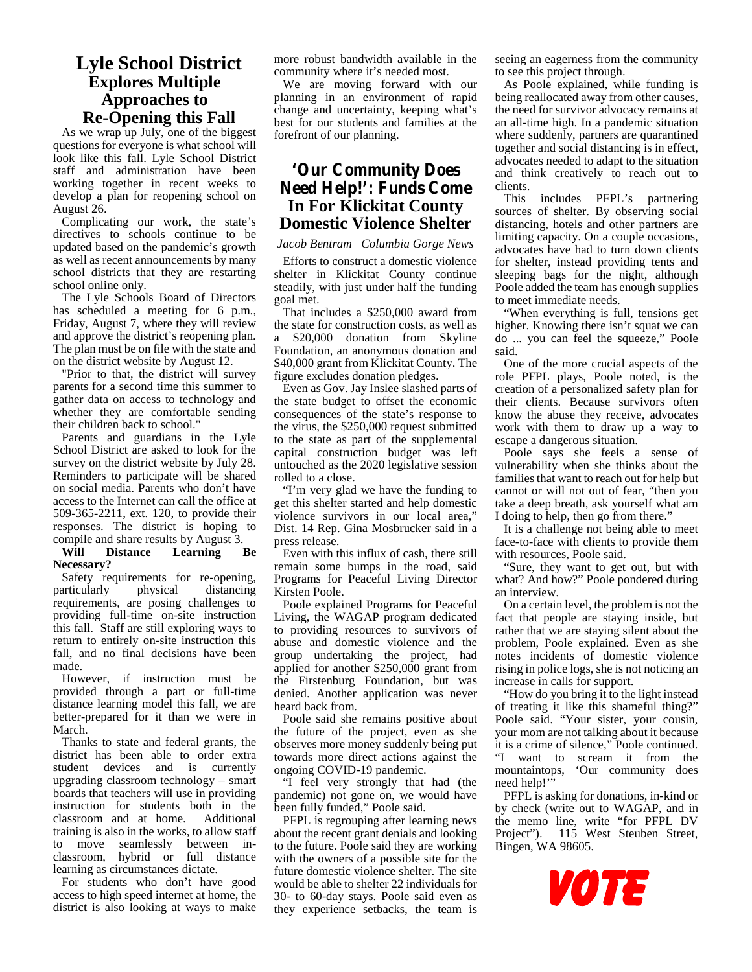### **Lyle School District Explores Multiple Approaches to Re-Opening this Fall**

As we wrap up July, one of the biggest questions for everyone is what school will look like this fall. Lyle School District staff and administration have been working together in recent weeks to develop a plan for reopening school on August 26.

Complicating our work, the state's directives to schools continue to be updated based on the pandemic's growth as well as recent announcements by many school districts that they are restarting school online only.

The Lyle Schools Board of Directors has scheduled a meeting for 6 p.m., Friday, August 7, where they will review and approve the district's reopening plan. a The plan must be on file with the state and on the district website by August 12.

"Prior to that, the district will survey parents for a second time this summer to gather data on access to technology and whether they are comfortable sending their children back to school."

Parents and guardians in the Lyle School District are asked to look for the survey on the district website by July 28. Reminders to participate will be shared on social media. Parents who don't have access to the Internet can call the office at 509-365-2211, ext. 120, to provide their responses. The district is hoping to compile and share results by August 3.<br>Will Distance Learning I

### Learning Be **Necessary?**

Safety requirements for re-opening,<br>particularly physical distancing distancing requirements, are posing challenges to providing full-time on-site instruction this fall. Staff are still exploring ways to return to entirely on-site instruction this fall, and no final decisions have been made.

However, if instruction must be provided through a part or full-time distance learning model this fall, we are better-prepared for it than we were in March.

Thanks to state and federal grants, the district has been able to order extra student devices and is currently upgrading classroom technology – smart boards that teachers will use in providing instruction for students both in the classroom and at home. Additional training is also in the works, to allow staff to move seamlessly between in classroom, hybrid or full distance learning as circumstances dictate.

For students who don't have good access to high speed internet at home, the district is also looking at ways to make more robust bandwidth available in the community where it's needed most.

We are moving forward with our planning in an environment of rapid change and uncertainty, keeping what's best for our students and families at the forefront of our planning.

### **'Our Community Does Need Help!': Funds Come In For Klickitat County Domestic Violence Shelter**

### *Jacob Bentram Columbia Gorge News*

Efforts to construct a domestic violence shelter in Klickitat County continue steadily, with just under half the funding goal met.

That includes a \$250,000 award from the state for construction costs, as well as \$20,000 donation from Skyline Foundation, an anonymous donation and \$40,000 grant from Klickitat County. The figure excludes donation pledges.

Even as Gov. Jay Inslee slashed parts of the state budget to offset the economic consequences of the state's response to the virus, the \$250,000 request submitted to the state as part of the supplemental capital construction budget was left untouched as the 2020 legislative session rolled to a close.

"I'm very glad we have the funding to get this shelter started and help domestic violence survivors in our local area," Dist. 14 Rep. Gina Mosbrucker said in a press release.

Even with this influx of cash, there still remain some bumps in the road, said Programs for Peaceful Living Director Kirsten Poole.

Poole explained Programs for Peaceful Living, the WAGAP program dedicated to providing resources to survivors of abuse and domestic violence and the group undertaking the project, had applied for another \$250,000 grant from the Firstenburg Foundation, but was denied. Another application was never heard back from.

Poole said she remains positive about the future of the project, even as she observes more money suddenly being put towards more direct actions against the ongoing COVID-19 pandemic.

"I feel very strongly that had (the pandemic) not gone on, we would have been fully funded," Poole said.

PFPL is regrouping after learning news about the recent grant denials and looking to the future. Poole said they are working with the owners of a possible site for the future domestic violence shelter. The site would be able to shelter 22 individuals for 30- to 60-day stays. Poole said even as they experience setbacks, the team is seeing an eagerness from the community to see this project through.

As Poole explained, while funding is being reallocated away from other causes, the need for survivor advocacy remains at an all-time high. In a pandemic situation where suddenly, partners are quarantined together and social distancing is in effect, advocates needed to adapt to the situation and think creatively to reach out to clients.

This includes PFPL's partnering sources of shelter. By observing social distancing, hotels and other partners are limiting capacity. On a couple occasions, advocates have had to turn down clients for shelter, instead providing tents and sleeping bags for the night, although Poole added the team has enough supplies to meet immediate needs.

"When everything is full, tensions get higher. Knowing there isn't squat we can do ... you can feel the squeeze," Poole said.

One of the more crucial aspects of the role PFPL plays, Poole noted, is the creation of a personalized safety plan for their clients. Because survivors often know the abuse they receive, advocates work with them to draw up a way to escape a dangerous situation.

Poole says she feels a sense of vulnerability when she thinks about the families that want to reach out for help but cannot or will not out of fear, "then you take a deep breath, ask yourself what am I doing to help, then go from there."

It is a challenge not being able to meet face-to-face with clients to provide them with resources, Poole said.

"Sure, they want to get out, but with what? And how?" Poole pondered during an interview.

On a certain level, the problem is not the fact that people are staying inside, but rather that we are staying silent about the problem, Poole explained. Even as she notes incidents of domestic violence rising in police logs, she is not noticing an increase in calls for support.

"How do you bring it to the light instead of treating it like this shameful thing?" Poole said. "Your sister, your cousin, your mom are not talking about it because it is a crime of silence," Poole continued. "I want to scream it from the mountaintops, 'Our community does need help!"

PFPL is asking for donations, in-kind or by check (write out to WAGAP, and in the memo line, write "for PFPL DV Project"). 115 West Steuben Street, Bingen, WA 98605.

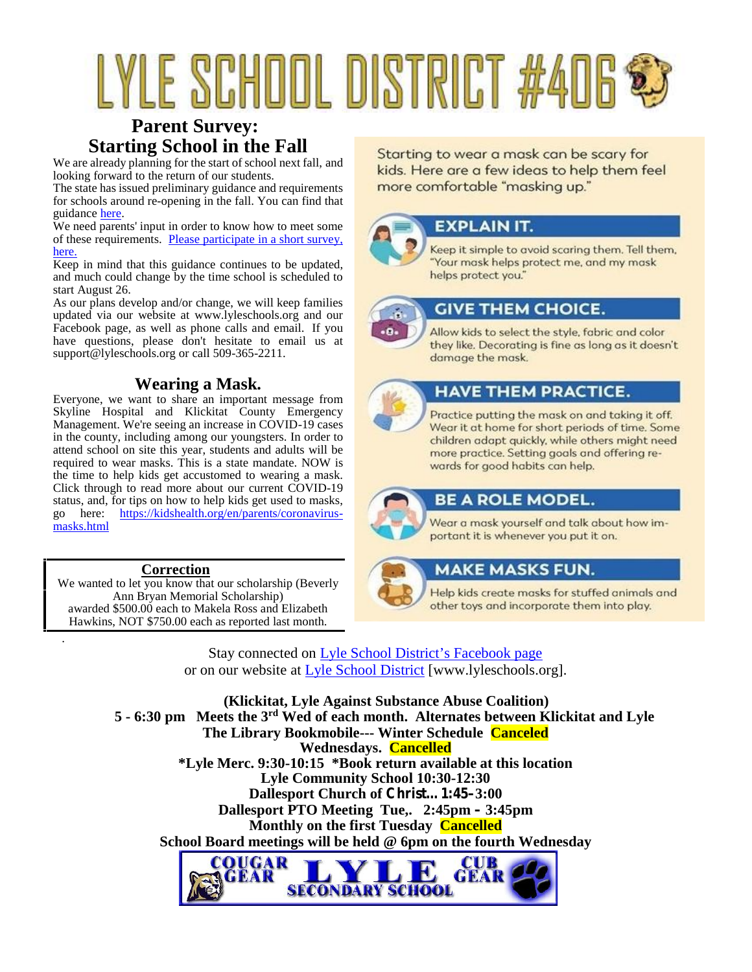# YLE SCHOOL DISTRICT #406 \$

### **Parent Survey: Starting School in the Fall**

looking forward to the return of our students.

The state has issued preliminary guidance and requirements more comfortable "masking up." for schools around re-opening in the fall. You can find that guidance here.

We need parents' input in order to know how to meet some of these requirements. Please participate in a short survey, here.

Keep in mind that this guidance continues to be updated, and much could change by the time school is scheduled to start August 26.

As our plans develop and/or change, we will keep families updated via our website at www.lyleschools.org and our Facebook page, as well as phone calls and email. If you have questions, please don't hesitate to email us at support@lyleschools.org or call 509-365-2211.

### **Wearing a Mask.**

Everyone, we want to share an important message from Skyline Hospital and Klickitat County Emergency Management. We're seeing an increase in COVID-19 cases in the county, including among our youngsters. In order to attend school on site this year, students and adults will be required to wear masks. This is a state mandate. NOW is the time to help kids get accustomed to wearing a mask. Click through to read more about our current COVID-19 status, and, for tips on how to help kids get used to masks, go here: https://kidshealth.org/en/parents/coronavirus masks.html

### **Correction**

.

We wanted to let you know that our scholarship (Beverly Ann Bryan Memorial Scholarship) awarded \$500.00 each to Makela Ross and Elizabeth Hawkins, NOT \$750.00 each as reported last month.

Starting to wear a mask can be scary for<br>We are already planning for the start of school next fall, and<br>looking forward to the rature of our students

### **EXPLAIN IT.**

Keep it simple to avoid scaring them. Tell them, "Your mask helps protect me, and my mask helps protect you."



### **GIVE THEM CHOICE.**

Allow kids to select the style, fabric and color they like. Decorating is fine as long as it doesn't damage the mask.



### **HAVE THEM PRACTICE.**

Practice putting the mask on and taking it off. Wear it at home for short periods of time. Some children adapt quickly, while others might need more practice. Setting goals and offering rewards for good habits can help.



### **BE A ROLE MODEL.**

Wear a mask yourself and talk about how important it is whenever you put it on.



### **MAKE MASKS FUN.**

Help kids create masks for stuffed animals and other toys and incorporate them into play.

Stay connected on Lyle School District's Facebook page or on our website at Lyle School District [www.lyleschools.org].

**(Klickitat, Lyle Against Substance Abuse Coalition) 5 - 6:30 pm Meets the 3 rd Wed of each month. Alternates between Klickitat and Lyle The Library Bookmobile--- Winter Schedule Canceled Wednesdays. Cancelled \*Lyle Merc. 9:30-10:15 \*Book return available at this location Lyle Community School 10:30-12:30 Dallesport Church of Christ…1:45–3:00 Dallesport PTO Meeting Tue,. 2:45pm – 3:45pm Monthly on the first Tuesday Cancelled School Board meetings will be held @ 6pm on the fourth Wednesday**

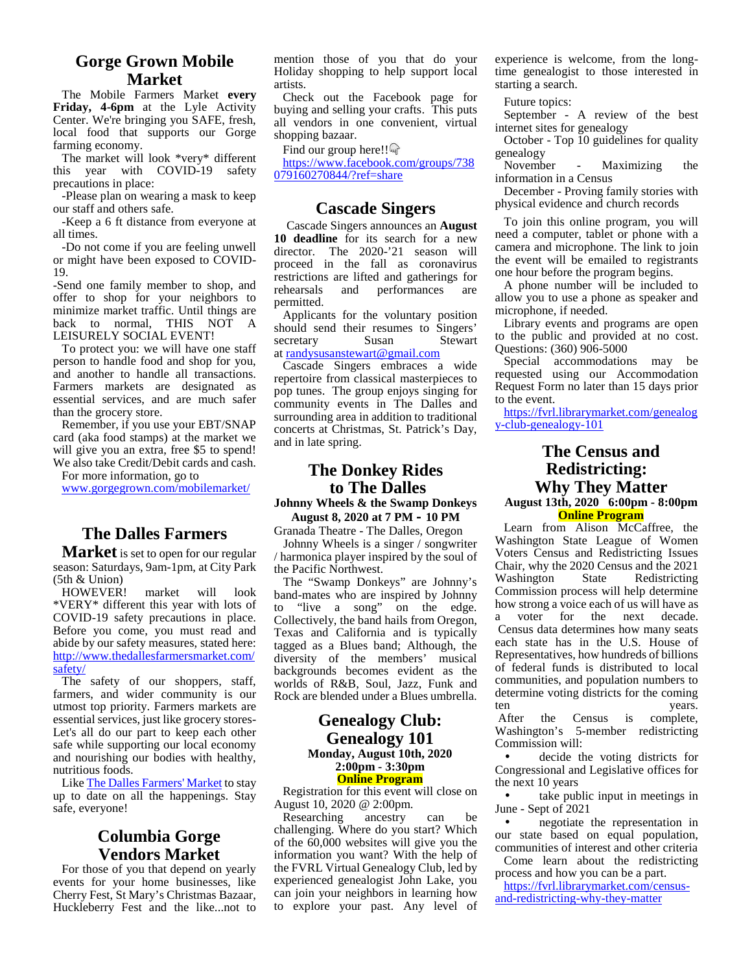### **Gorge Grown Mobile Market**

The Mobile Farmers Market **every Friday, 4-6pm** at the Lyle Activity Center. We're bringing you SAFE, fresh, local food that supports our Gorge farming economy.

The market will look \*very\* different this year with COVID-19 safety precautions in place:

-Please plan on wearing a mask to keep our staff and others safe.

-Keep a 6 ft distance from everyone at all times.

-Do not come if you are feeling unwell or might have been exposed to COVID- 19.

-Send one family member to shop, and rehearsals offer to shop for your neighbors to minimize market traffic. Until things are back to normal, THIS NOT LEISURELY SOCIAL EVENT!

To protect you: we will have one staff person to handle food and shop for you, and another to handle all transactions. Farmers markets are designated as essential services, and are much safer than the grocery store.

Remember, if you use your EBT/SNAP card (aka food stamps) at the market we will give you an extra, free \$5 to spend! We also take Credit/Debit cards and cash.

For more information, go to

www.gorgegrown.com/mobilemarket/

### **The Dalles Farmers**

**Market** is set to open for our regular season: Saturdays, 9am-1pm, at City Park (5th & Union)<br>HOWEVER! market

HOWEVER! market will look \*VERY\* different this year with lots of  $\epsilon$  to COVID-19 safety precautions in place. Before you come, you must read and abide by our safety measures, stated here: http://www.thedallesfarmersmarket.com/ safety/

The safety of our shoppers, staff, farmers, and wider community is our utmost top priority. Farmers markets are essential services, just like grocery stores- Let's all do our part to keep each other safe while supporting our local economy and nourishing our bodies with healthy, nutritious foods.

Like The Dalles Farmers' Market to stay up to date on all the happenings. Stay safe, everyone!

### **Columbia Gorge Vendors Market**

For those of you that depend on yearly events for your home businesses, like Cherry Fest, St Mary's Christmas Bazaar, Huckleberry Fest and the like...not to

mention those of you that do your Holiday shopping to help support local artists.

Check out the Facebook page for buying and selling your crafts. This puts all vendors in one convenient, virtual shopping bazaar.

Find our group here!!

https://www.facebook.com/groups/738 November 079160270844/?ref=share

### **Cascade Singers**

Cascade Singers announces an **August 10 deadline** for its search for a new director. The 2020-'21 season will proceed in the fall as coronavirus restrictions are lifted and gatherings for and performances are permitted.

Applicants for the voluntary position should send their resumes to Singers' secretary Susan Stewart at randysusanstewart@gmail.com

Cascade Singers embraces a wide repertoire from classical masterpieces to pop tunes. The group enjoys singing for community events in The Dalles and surrounding area in addition to traditional concerts at Christmas, St. Patrick's Day, and in late spring.

### **The Donkey Rides to The Dalles Johnny Wheels & the Swamp Donkeys August 8, 2020 at 7 PM – 10 PM**

Granada Theatre - The Dalles, Oregon

Johnny Wheels is a singer / songwriter / harmonica player inspired by the soul of the Pacific Northwest.

The "Swamp Donkeys" are Johnny's band-mates who are inspired by Johnny "live a song" on the edge.  $\frac{hc}{dt}$ Collectively, the band hails from Oregon, Texas and California and is typically tagged as a Blues band; Although, the diversity of the members' musical backgrounds becomes evident as the worlds of R&B, Soul, Jazz, Funk and Rock are blended under a Blues umbrella. det

### **Genealogy Club: Genealogy 101 Monday, August 10th, 2020 2:00pm - 3:30pm Online Program**

Registration for this event will close on

August 10, 2020 @ 2:00pm.<br>Researching ancestry Researching ancestry can be challenging. Where do you start? Which of the 60,000 websites will give you the information you want? With the help of the FVRL Virtual Genealogy Club, led by experienced genealogist John Lake, you can join your neighbors in learning how to explore your past. Any level of experience is welcome, from the longtime genealogist to those interested in starting a search.

Future topics:

September - A review of the best internet sites for genealogy

October - Top 10 guidelines for quality genealogy

Maximizing the information in a Census

December - Proving family stories with physical evidence and church records

To join this online program, you will need a computer, tablet or phone with a camera and microphone. The link to join the event will be emailed to registrants one hour before the program begins.

A phone number will be included to allow you to use a phone as speaker and microphone, if needed.

Library events and programs are open to the public and provided at no cost. Questions: (360) 906-5000

Special accommodations may be requested using our Accommodation Request Form no later than 15 days prior to the event.

https://fvrl.librarymarket.com/genealog y-club-genealogy-101

### **The Census and Redistricting: Why They Matter August 13th, 2020 6:00pm - 8:00pm Online Program**

Learn from Alison McCaffree, the Washington State League of Women Voters Census and Redistricting Issues Chair, why the 2020 Census and the 2021 State Redistricting Commission process will help determine how strong a voice each of us will have as<br>a voter for the next decade. decade. Census data determines how many seats each state has in the U.S. House of Representatives, how hundreds of billions of federal funds is distributed to local communities, and population numbers to determine voting districts for the coming years.

After the Census is complete, Washington's 5-member redistricting Commission will:

 decide the voting districts for Congressional and Legislative offices for the next 10 years

 take public input in meetings in June - Sept of 2021

 negotiate the representation in our state based on equal population, communities of interest and other criteria

Come learn about the redistricting process and how you can be a part. https://fvrl.librarymarket.com/census-

and-redistricting-why-they-matter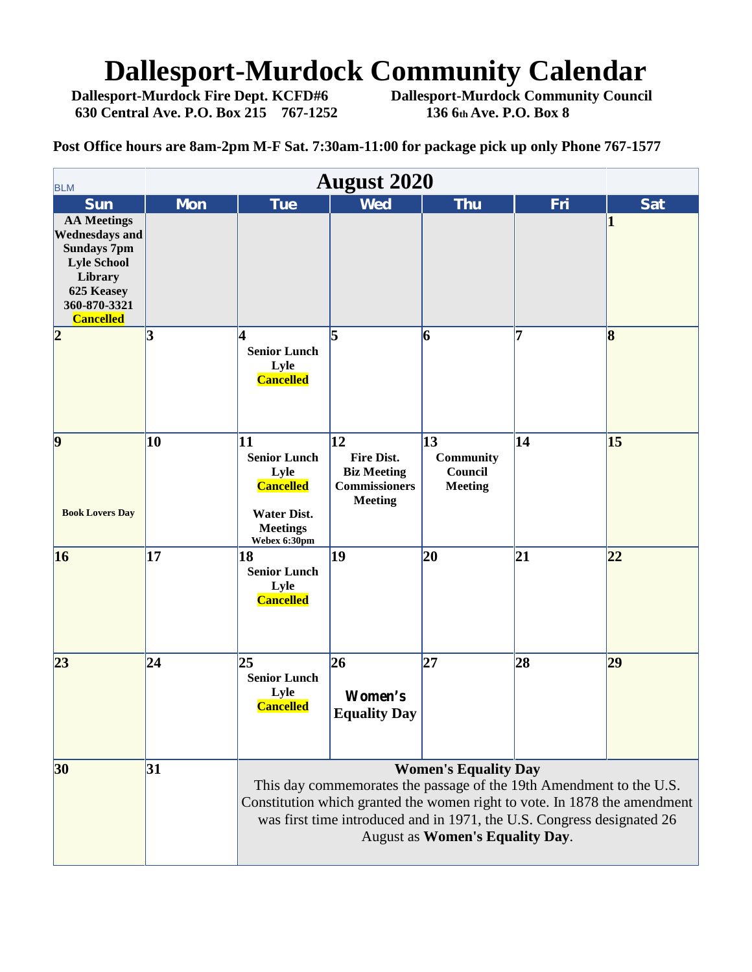# **Dallesport-Murdock Community Calendar**<br>Dallesport-Murdock Fire Dept. KCFD#6 Dallesport-Murdock Community Council

**630 Central Ave. P.O. Box 215 767-1252 136 6th Ave. P.O. Box 8**

**Dallesport-Murdock Community Council** 

**Post Office hours are 8am-2pm M-F Sat. 7:30am-11:00 for package pick up only Phone 767-1577**

| <b>August 2020</b><br><b>BLM</b>                                                                      |            |                                                                                                                                                                                                                                                                                              |                                                                                         |                                                             |     |                        |  |  |
|-------------------------------------------------------------------------------------------------------|------------|----------------------------------------------------------------------------------------------------------------------------------------------------------------------------------------------------------------------------------------------------------------------------------------------|-----------------------------------------------------------------------------------------|-------------------------------------------------------------|-----|------------------------|--|--|
| <b>Sun</b><br><b>AA Meetings</b><br><b>Wednesdays and</b><br><b>Sundays 7pm</b><br><b>Lyle School</b> | <b>Mon</b> | <b>Tue</b>                                                                                                                                                                                                                                                                                   | <b>Wed</b>                                                                              | <b>Thu</b>                                                  | Fri | <b>Sat</b><br>$\bf{1}$ |  |  |
| Library<br>625 Keasey<br>360-870-3321<br><b>Cancelled</b><br> 2                                       | 3          | 4                                                                                                                                                                                                                                                                                            | l5                                                                                      | $\vert 6 \vert$                                             | 7   | $\bf{8}$               |  |  |
|                                                                                                       |            | <b>Senior Lunch</b><br>Lyle<br><b>Cancelled</b>                                                                                                                                                                                                                                              |                                                                                         |                                                             |     |                        |  |  |
| $\vert \mathbf{9} \vert$<br><b>Book Lovers Day</b>                                                    | 10         | 11<br><b>Senior Lunch</b><br>Lyle<br><b>Cancelled</b><br><b>Water Dist.</b><br><b>Meetings</b>                                                                                                                                                                                               | 12<br><b>Fire Dist.</b><br><b>Biz Meeting</b><br><b>Commissioners</b><br><b>Meeting</b> | $\vert$ 13<br><b>Community</b><br>Council<br><b>Meeting</b> | 14  | 15                     |  |  |
| 16                                                                                                    | 17         | Webex 6:30pm<br>18<br><b>Senior Lunch</b><br>Lyle<br><b>Cancelled</b>                                                                                                                                                                                                                        | 19                                                                                      | 20                                                          | 21  | 22                     |  |  |
| 23                                                                                                    | 24         | 25<br><b>Senior Lunch</b><br>Lyle<br><b>Cancelled</b>                                                                                                                                                                                                                                        | 26<br>Women's<br><b>Equality Day</b>                                                    | 27                                                          | 28  | 29                     |  |  |
| 30                                                                                                    | 31         | <b>Women's Equality Day</b><br>This day commemorates the passage of the 19th Amendment to the U.S.<br>Constitution which granted the women right to vote. In 1878 the amendment<br>was first time introduced and in 1971, the U.S. Congress designated 26<br>August as Women's Equality Day. |                                                                                         |                                                             |     |                        |  |  |